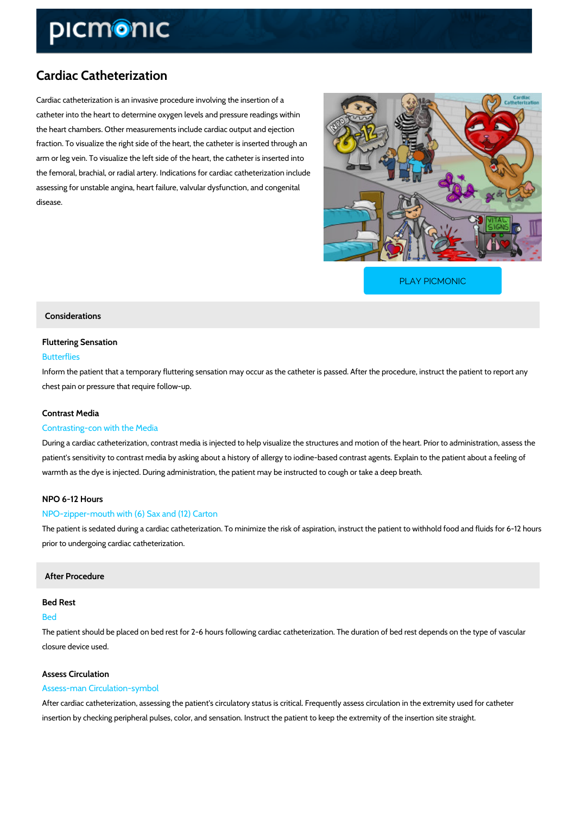# Cardiac Catheterization

Cardiac catheterization is an invasive procedure involving the insertion of a catheter into the heart to determine oxygen levels and pressure readings within the heart chambers. Other measurements include cardiac output and ejection fraction. To visualize the right side of the heart, the catheter is inserted through an arm or leg vein. To visualize the left side of the heart, the catheter is inserted into the femoral, brachial, or radial artery. Indications for cardiac catheterization include assessing for unstable angina, heart failure, valvular dysfunction, and congenital disease.

[PLAY PICMONIC](https://www.picmonic.com/learn/cardiac-catheterization_2293?utm_source=downloadable_content&utm_medium=distributedcontent&utm_campaign=pathways_pdf&utm_content=Cardiac Catheterization&utm_ad_group=leads&utm_market=all)

## Considerations

## Fluttering Sensation

#### Butterflies

Inform the patient that a temporary fluttering sensation may occur as the catheter is passed. chest pain or pressure that require follow-up.

## Contrast Media

### Contrasting-con with the Media

During a cardiac catheterization, contrast media is injected to help visualize the structures a patient's sensitivity to contrast media by asking about a history of allergy to iodine-based contrast agents. warmth as the dye is injected. During administration, the patient may be instructed to cough or

#### NPO 6-12 Hours

#### NPO-zipper-mouth with (6) Sax and (12) Carton

The patient is sedated during a cardiac catheterization. To minimize the risk of aspiration, in prior to undergoing cardiac catheterization.

## After Procedure

#### Bed Rest

## Bed

The patient should be placed on bed rest for 2-6 hours following cardiac catheterization. The closure device used.

## Assess Circulation

## Assess-man Circulation-symbol

After cardiac catheterization, assessing the patient's circulatory status is critical. Frequently insertion by checking peripheral pulses, color, and sensation. Instruct the patient to keep the